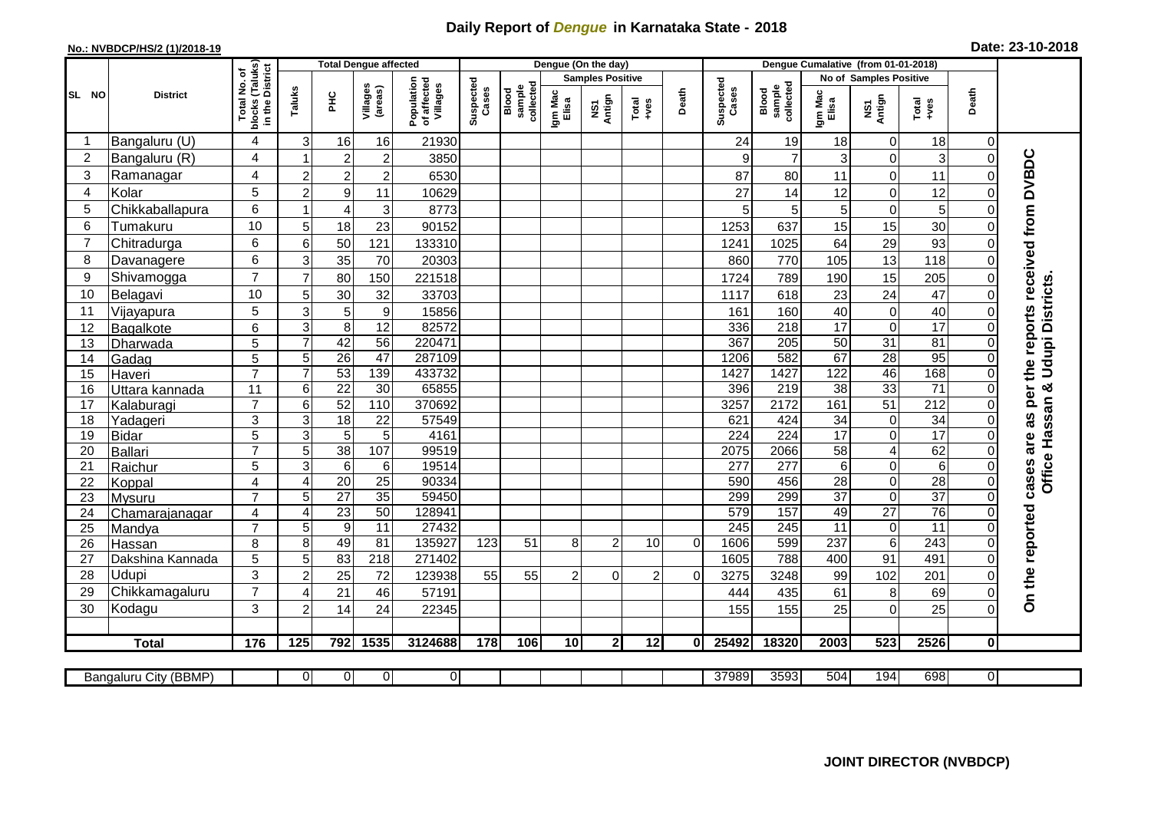## **Daily Report of** *Dengue* **in Karnataka State - 2018**

## **No.: NVBDCP/HS/2 (1)/2018-19**

| Date: 23-10-2018 |  |  |  |  |
|------------------|--|--|--|--|
|------------------|--|--|--|--|

|                |                            |                                                                       | <b>Total Dengue affected</b>     |                      |                     |                                       |                    |                              |                  | Dengue (On the day)     |                 |          |                    |                              |                       |                                |                                    |              |                                        |
|----------------|----------------------------|-----------------------------------------------------------------------|----------------------------------|----------------------|---------------------|---------------------------------------|--------------------|------------------------------|------------------|-------------------------|-----------------|----------|--------------------|------------------------------|-----------------------|--------------------------------|------------------------------------|--------------|----------------------------------------|
|                |                            |                                                                       |                                  |                      |                     |                                       |                    |                              |                  | <b>Samples Positive</b> |                 |          |                    |                              |                       | No of Samples Positive         |                                    |              |                                        |
| SL NO          | <b>District</b>            | Total No. of<br>Iocks (Taluks)<br>in the District<br>blocks<br>in the | Taluks                           | ĔБ                   | Villages<br>(areas) | Population<br>of affected<br>Villages | Suspected<br>Cases | sample<br>collected<br>Blood | Igm Mac<br>Elisa | NS1<br>Antign           | Total<br>+ves   | Death    | Suspected<br>Cases | collected<br>sample<br>Blood | Igm Mac<br>Elisa      | NS1<br>Antign                  | Total<br>+ves                      | Death        |                                        |
| -1             | Bangaluru (U)              | $\overline{4}$                                                        | 3                                | 16                   | 16                  | 21930                                 |                    |                              |                  |                         |                 |          | 24                 | 19                           | 18                    | $\mathbf 0$                    | 18                                 | $\Omega$     |                                        |
| $\overline{2}$ | Bangaluru (R)              | 4                                                                     |                                  | $\overline{2}$       | $\overline{c}$      | 3850                                  |                    |                              |                  |                         |                 |          | 9                  | $\overline{7}$               | 3                     | $\Omega$                       | 3                                  | $\Omega$     |                                        |
| 3              | Ramanagar                  | 4                                                                     | $\overline{c}$                   | $\sqrt{2}$           | $\overline{c}$      | 6530                                  |                    |                              |                  |                         |                 |          | 87                 | 80                           | 11                    | $\mathbf 0$                    | 11                                 |              | as per the reports received from DVBDC |
| $\overline{4}$ | Kolar                      | 5                                                                     | $\overline{2}$                   | $\boldsymbol{9}$     | 11                  | 10629                                 |                    |                              |                  |                         |                 |          | 27                 | 14                           | 12                    | $\mathbf 0$                    | 12                                 | $\Omega$     |                                        |
| 5              | Chikkaballapura            | 6                                                                     | $\overline{1}$                   | $\overline{4}$       | 3                   | 8773                                  |                    |                              |                  |                         |                 |          | 5                  | $\overline{5}$               | 5                     | $\mathbf 0$                    | 5                                  | $\Omega$     |                                        |
| 6              | Tumakuru                   | 10                                                                    | 5                                | 18                   | 23                  | 90152                                 |                    |                              |                  |                         |                 |          | 1253               | 637                          | 15                    | 15                             | 30                                 | $\Omega$     |                                        |
| 7              | Chitradurga                | 6                                                                     | $6\phantom{1}6$                  | 50                   | 121                 | 133310                                |                    |                              |                  |                         |                 |          | 1241               | 1025                         | 64                    | 29                             | 93                                 | $\Omega$     |                                        |
| 8              | Davanagere                 | 6                                                                     | 3                                | 35                   | 70                  | 20303                                 |                    |                              |                  |                         |                 |          | 860                | 770                          | 105                   | 13                             | 118                                | $\Omega$     |                                        |
| 9              | Shivamogga                 | $\overline{7}$                                                        | $\overline{7}$                   | 80                   | 150                 | 221518                                |                    |                              |                  |                         |                 |          | 1724               | 789                          | 190                   | 15                             | 205                                | 0            |                                        |
| 10             | Belagavi                   | 10                                                                    | 5                                | 30                   | 32                  | 33703                                 |                    |                              |                  |                         |                 |          | 1117               | 618                          | 23                    | 24                             | 47                                 | $\Omega$     | Office Hassan & Udupi Districts        |
| 11             | Vijayapura                 | 5                                                                     | 3                                | 5                    | 9                   | 15856                                 |                    |                              |                  |                         |                 |          | 161                | 160                          | 40                    | $\boldsymbol{0}$               | 40                                 | $\Omega$     |                                        |
| 12             | Bagalkote                  | $\overline{6}$                                                        | $\overline{3}$                   | $\overline{8}$       | $\overline{12}$     | 82572                                 |                    |                              |                  |                         |                 |          | 336                | 218                          | 17                    | $\mathbf 0$                    | 17                                 | $\Omega$     |                                        |
| 13             | Dharwada                   | 5                                                                     | $\overline{7}$                   | 42                   | 56                  | 220471                                |                    |                              |                  |                         |                 |          | 367                | 205                          | 50                    | 31                             | 81                                 | $\Omega$     |                                        |
| 14             | Gadag                      | 5                                                                     | 5                                | 26                   | $\overline{47}$     | 287109                                |                    |                              |                  |                         |                 |          | 1206               | 582                          | 67                    | 28                             | 95                                 | $\Omega$     |                                        |
| 15             | Haveri                     | $\overline{7}$                                                        | $\overline{7}$                   | 53                   | 139                 | 433732                                |                    |                              |                  |                         |                 |          | 1427               | 1427                         | 122                   | 46                             | 168                                | $\mathbf 0$  |                                        |
| 16             | Uttara kannada             | 11                                                                    | $6\phantom{1}6$                  | $\overline{22}$      | 30                  | 65855                                 |                    |                              |                  |                         |                 |          | 396                | 219                          | $\overline{38}$       | 33                             | $\overline{71}$                    | $\Omega$     |                                        |
| 17             | Kalaburagi                 | $\overline{7}$                                                        | 6                                | $\overline{52}$      | 110                 | 370692                                |                    |                              |                  |                         |                 |          | 3257               | 2172                         | 161                   | $\overline{51}$                | $\overline{212}$                   |              |                                        |
| 18             | Yadageri                   | 3                                                                     | $\overline{3}$                   | 18                   | $\overline{22}$     | 57549                                 |                    |                              |                  |                         |                 |          | 621                | 424                          | 34                    | 0                              | 34                                 |              |                                        |
| 19             | <b>Bidar</b>               | 5                                                                     | $\overline{3}$                   | $\overline{5}$       | $\overline{5}$      | 4161                                  |                    |                              |                  |                         |                 |          | 224                | 224                          | 17                    | $\overline{0}$                 | 17                                 |              | are                                    |
| 20             | Ballari                    | $\overline{7}$                                                        | $\overline{5}$                   | 38                   | 107                 | 99519                                 |                    |                              |                  |                         |                 |          | 2075               | 2066                         | 58                    | $\overline{\mathbf{4}}$        | 62                                 | $\Omega$     |                                        |
| 21             | Raichur                    | 5                                                                     | 3                                | $6\phantom{1}6$      | 6                   | 19514                                 |                    |                              |                  |                         |                 |          | 277                | 277                          | 6                     | 0                              | $\,6\,$                            | $\Omega$     | cases                                  |
| 22             | Koppal                     | $\overline{4}$                                                        | $\overline{4}$                   | $\overline{20}$      | 25                  | 90334                                 |                    |                              |                  |                         |                 |          | 590                | 456                          | $\overline{28}$       | $\mathbf 0$                    | 28                                 | $\Omega$     |                                        |
| 23             | <b>Mysuru</b>              | $\overline{7}$                                                        | 5                                | 27                   | 35                  | 59450                                 |                    |                              |                  |                         |                 |          | 299                | 299                          | $\overline{37}$       | $\mathbf 0$                    | $\overline{37}$                    | $\Omega$     |                                        |
| 24             | Chamarajanagar             | 4<br>$\overline{7}$                                                   | $\overline{4}$<br>$\overline{5}$ | 23<br>$\overline{9}$ | 50<br>11            | 12894 <sup>-</sup><br>27432           |                    |                              |                  |                         |                 |          | 579<br>245         | 157                          | 49<br>$\overline{11}$ | $\overline{27}$<br>$\mathbf 0$ | $\overline{76}$<br>$\overline{11}$ | $\Omega$     |                                        |
| 25             | Mandya                     | 8                                                                     | 8                                | 49                   | 81                  | 135927                                | 123                | 51                           | 8                | 2                       | 10              | $\Omega$ | 1606               | 245<br>599                   | $\overline{237}$      | $\,6\,$                        | 243                                | $\Omega$     |                                        |
| 26<br>27       | Hassan<br>Dakshina Kannada | 5                                                                     | 5                                | $\overline{83}$      | 218                 | 271402                                |                    |                              |                  |                         |                 |          | 1605               | 788                          | 400                   | 91                             | 491                                | $\mathbf{0}$ |                                        |
| 28             | Udupi                      | 3                                                                     | $\overline{c}$                   | 25                   | 72                  | 123938                                | 55                 | 55                           | $\overline{2}$   | $\Omega$                | $\overline{2}$  | $\Omega$ | 3275               | 3248                         | 99                    | 102                            | 201                                | $\Omega$     | On the reported                        |
| 29             | Chikkamagaluru             | $\overline{7}$                                                        |                                  | 21                   | 46                  | 57191                                 |                    |                              |                  |                         |                 |          | 444                | 435                          | 61                    | 8                              | 69                                 |              |                                        |
|                |                            |                                                                       | 4                                | 14                   |                     | 22345                                 |                    |                              |                  |                         |                 |          |                    |                              |                       |                                | 25                                 | 0            |                                        |
| 30             | Kodagu                     | 3                                                                     | $\overline{2}$                   |                      | 24                  |                                       |                    |                              |                  |                         |                 |          | 155                | 155                          | 25                    | $\mathbf 0$                    |                                    | 0            |                                        |
|                | <b>Total</b>               | 176                                                                   | $\overline{125}$                 | 792                  | 1535                | 3124688                               | $\frac{1}{178}$    | 106                          | 10 <sup>1</sup>  | $\mathbf{2}$            | $\overline{12}$ | 0        | 25492              | 18320                        | 2003                  | 523                            | 2526                               | $\mathbf{0}$ |                                        |
|                |                            |                                                                       |                                  |                      |                     |                                       |                    |                              |                  |                         |                 |          |                    |                              |                       |                                |                                    |              |                                        |
|                | Bangaluru City (BBMP)      |                                                                       | $\Omega$                         | $\overline{0}$       | $\overline{0}$      | $\overline{0}$                        |                    |                              |                  |                         |                 |          | 37989              | 3593                         | 504                   | 194                            | 698                                | 0I           |                                        |